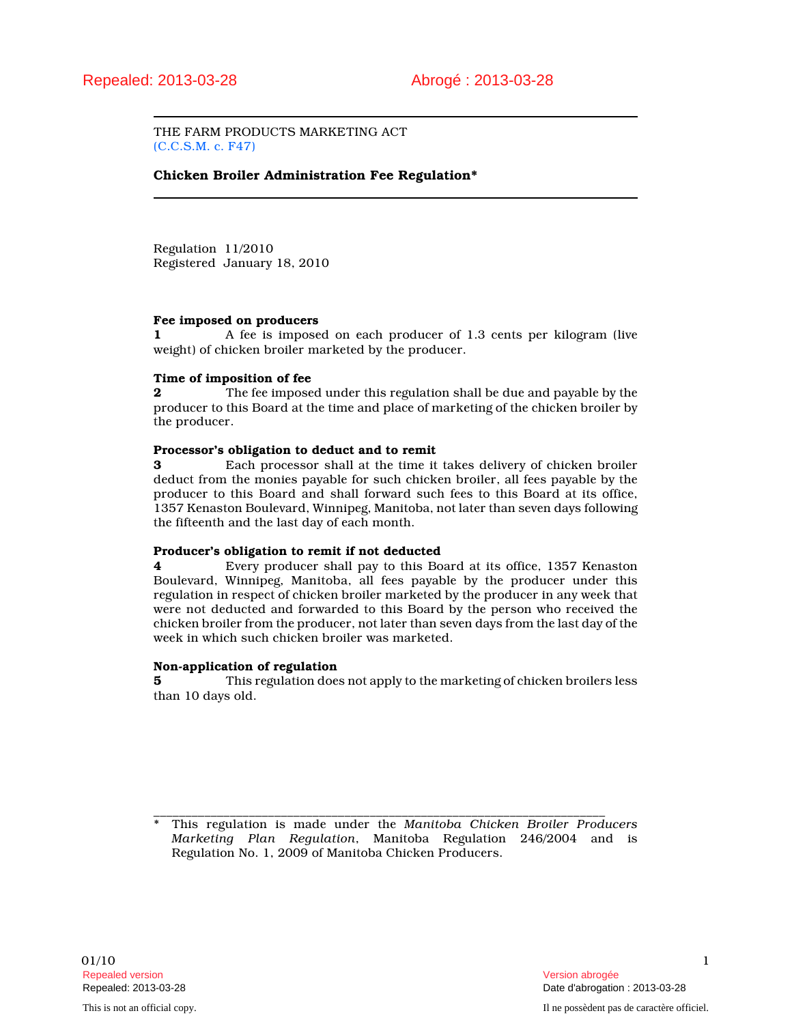THE FARM PRODUCTS MARKETING ACT (C.C.S.M. c. F47)

## Chicken Broiler Administration Fee Regulation\*

Regulation 11/2010 Registered January 18, 2010

#### Fee imposed on producers

1 A fee is imposed on each producer of 1.3 cents per kilogram (live weight) of chicken broiler marketed by the producer.

### Time of imposition of fee

2 The fee imposed under this regulation shall be due and payable by the producer to this Board at the time and place of marketing of the chicken broiler by the producer.

#### Processor's obligation to deduct and to remit

3 Each processor shall at the time it takes delivery of chicken broiler deduct from the monies payable for such chicken broiler, all fees payable by the producer to this Board and shall forward such fees to this Board at its office, 1357 Kenaston Boulevard, Winnipeg, Manitoba, not later than seven days following the fifteenth and the last day of each month.

#### Producer's obligation to remit if not deducted

4 Every producer shall pay to this Board at its office, 1357 Kenaston Boulevard, Winnipeg, Manitoba, all fees payable by the producer under this regulation in respect of chicken broiler marketed by the producer in any week that were not deducted and forwarded to this Board by the person who received the chicken broiler from the producer, not later than seven days from the last day of the week in which such chicken broiler was marketed.

#### Non-application of regulation

5 This regulation does not apply to the marketing of chicken broilers less than 10 days old.

\_\_\_\_\_\_\_\_\_\_\_\_\_\_\_\_\_\_\_\_\_\_\_\_\_\_\_\_\_\_\_\_\_\_\_\_\_\_\_\_\_\_\_\_\_\_\_\_\_\_\_\_\_\_\_\_\_\_\_\_\_\_\_\_\_\_\_\_\_\_\_ This regulation is made under the Manitoba Chicken Broiler Producers Marketing Plan Regulation, Manitoba Regulation 246/2004 and is Regulation No. 1, 2009 of Manitoba Chicken Producers.